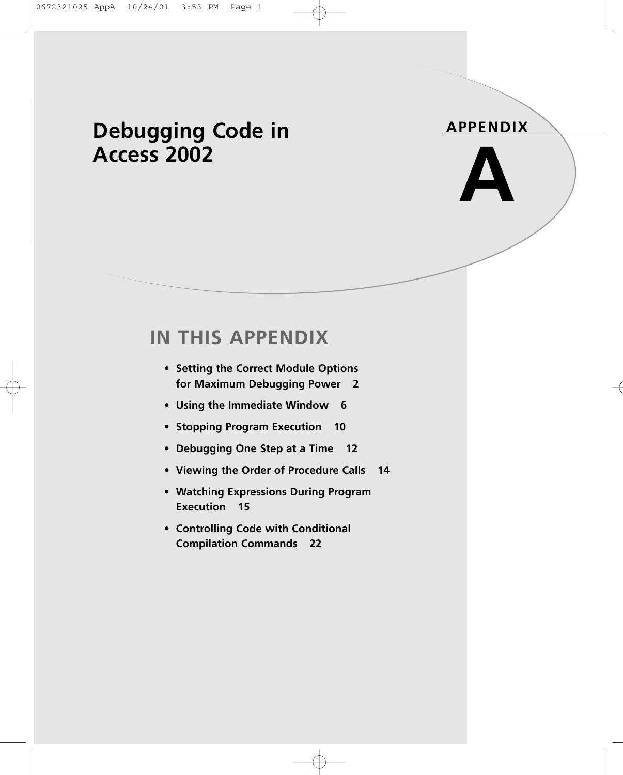### **IN THIS APPENDIX**

**• Setting the Correct Module Options for Maximum Debugging Power 2** **APPENDIX**

**A**

- **Using the Immediate Window 6**
- **Stopping Program Execution 10**
- **Debugging One Step at a Time 12**
- **Viewing the Order of Procedure Calls 14**
- **Watching Expressions During Program Execution 15**
- **Controlling Code with Conditional Compilation Commands 22**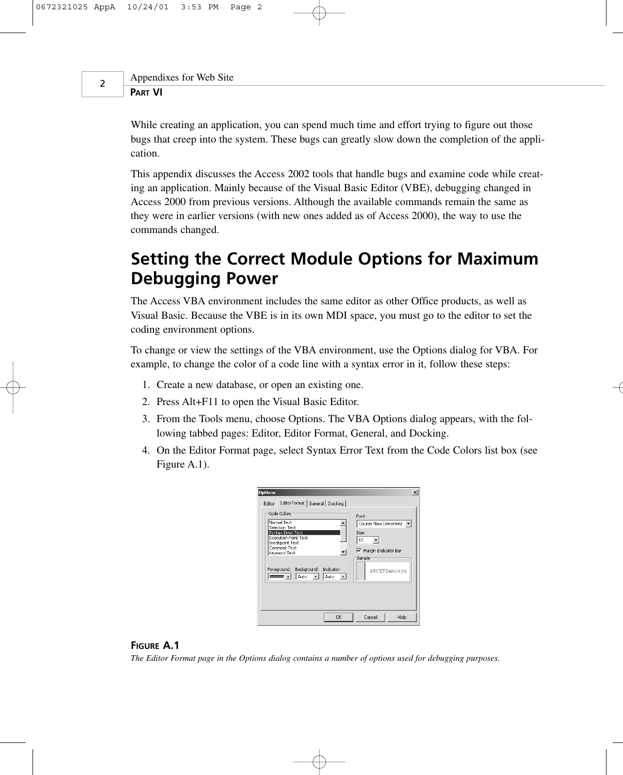2

#### Appendixes for Web Site **PART VI**

While creating an application, you can spend much time and effort trying to figure out those bugs that creep into the system. These bugs can greatly slow down the completion of the application.

This appendix discusses the Access 2002 tools that handle bugs and examine code while creating an application. Mainly because of the Visual Basic Editor (VBE), debugging changed in Access 2000 from previous versions. Although the available commands remain the same as they were in earlier versions (with new ones added as of Access 2000), the way to use the commands changed.

### **Setting the Correct Module Options for Maximum Debugging Power**

The Access VBA environment includes the same editor as other Office products, as well as Visual Basic. Because the VBE is in its own MDI space, you must go to the editor to set the coding environment options.

To change or view the settings of the VBA environment, use the Options dialog for VBA. For example, to change the color of a code line with a syntax error in it, follow these steps:

- 1. Create a new database, or open an existing one.
- 2. Press Alt+F11 to open the Visual Basic Editor.
- 3. From the Tools menu, choose Options. The VBA Options dialog appears, with the following tabbed pages: Editor, Editor Format, General, and Docking.
- 4. On the Editor Format page, select Syntax Error Text from the Code Colors list box (see Figure A.1).

| <b>Options</b>                                                                                                                                                                | $\vert x \vert$                                 |
|-------------------------------------------------------------------------------------------------------------------------------------------------------------------------------|-------------------------------------------------|
| Editor Format   General   Docking  <br>Editor<br>Code Colors<br>Normal Text<br>Selection Text<br>Syntax Error Text<br>Execution Point Text<br>Breakpoint Text<br>Comment Text | Font:<br>Courier New (Western) -<br>Size:<br>10 |
| 회<br>Keyword Text<br>Foreground: Background: Indicator:<br>Auto - Auto<br>$\vert \cdot \vert$                                                                                 | Margin Indicator Bar<br>Sample<br>ABCXYZabcxyz  |
| <b>OK</b>                                                                                                                                                                     | Cancel<br>Help                                  |

#### **FIGURE A.1**

*The Editor Format page in the Options dialog contains a number of options used for debugging purposes.*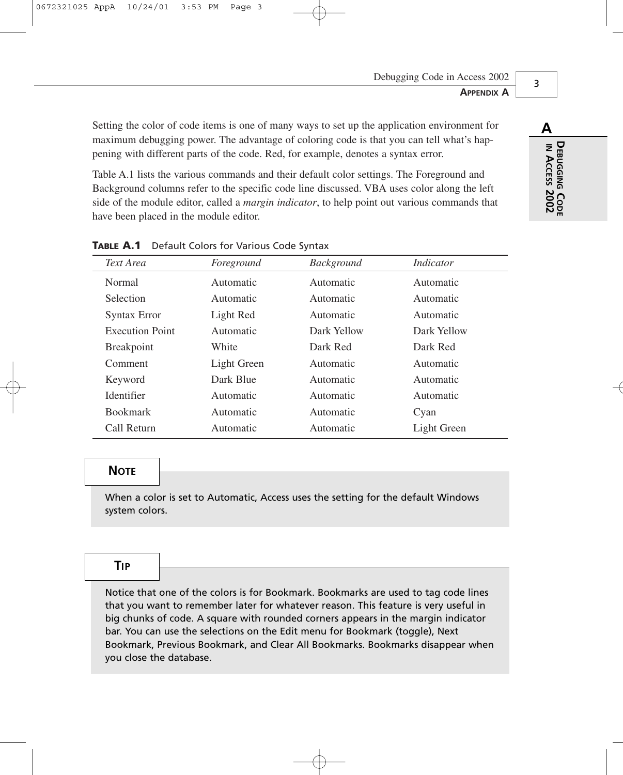0672321025 AppA 10/24/01 3:53 PM Page 3

Setting the color of code items is one of many ways to set up the application environment for maximum debugging power. The advantage of coloring code is that you can tell what's happening with different parts of the code. Red, for example, denotes a syntax error.

Table A.1 lists the various commands and their default color settings. The Foreground and Background columns refer to the specific code line discussed. VBA uses color along the left side of the module editor, called a *margin indicator*, to help point out various commands that have been placed in the module editor.

| Text Area              | Foreground  | <b>Background</b> | Indicator   |
|------------------------|-------------|-------------------|-------------|
| Normal                 | Automatic   | Automatic         | Automatic   |
| Selection              | Automatic   | Automatic         | Automatic   |
| Syntax Error           | Light Red   | Automatic         | Automatic   |
| <b>Execution Point</b> | Automatic   | Dark Yellow       | Dark Yellow |
| <b>Breakpoint</b>      | White       | Dark Red          | Dark Red    |
| Comment                | Light Green | Automatic         | Automatic   |
| Keyword                | Dark Blue   | Automatic         | Automatic   |
| Identifier             | Automatic   | Automatic         | Automatic   |
| <b>Bookmark</b>        | Automatic   | Automatic         | Cyan        |
| Call Return            | Automatic   | Automatic         | Light Green |

#### **TABLE A.1** Default Colors for Various Code Syntax

#### **NOTE**

When a color is set to Automatic, Access uses the setting for the default Windows system colors.

#### **TIP**

Notice that one of the colors is for Bookmark. Bookmarks are used to tag code lines that you want to remember later for whatever reason. This feature is very useful in big chunks of code. A square with rounded corners appears in the margin indicator bar. You can use the selections on the Edit menu for Bookmark (toggle), Next Bookmark, Previous Bookmark, and Clear All Bookmarks. Bookmarks disappear when you close the database.

3

**A**

**I** 

**ACCESS**

**2002**

**DEBUGGING**

**CODE**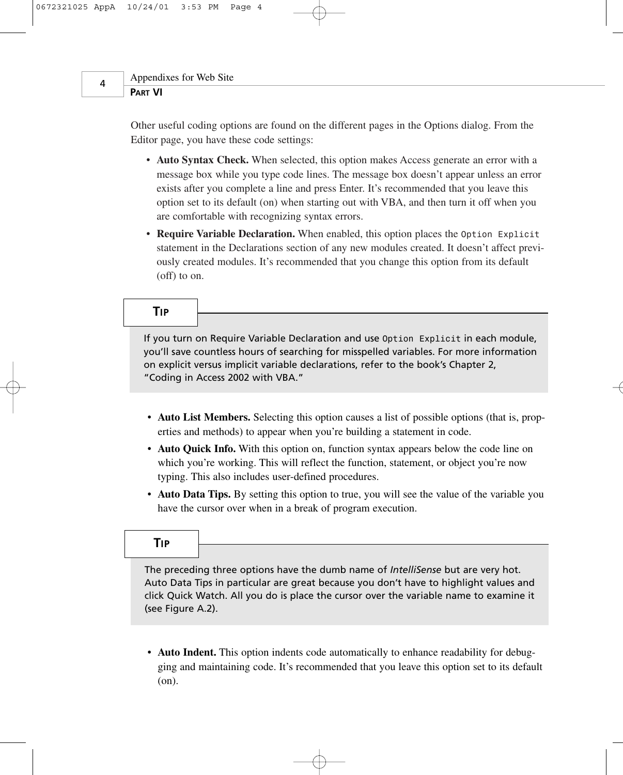4

Appendixes for Web Site **PART VI**

> Other useful coding options are found on the different pages in the Options dialog. From the Editor page, you have these code settings:

- **Auto Syntax Check.** When selected, this option makes Access generate an error with a message box while you type code lines. The message box doesn't appear unless an error exists after you complete a line and press Enter. It's recommended that you leave this option set to its default (on) when starting out with VBA, and then turn it off when you are comfortable with recognizing syntax errors.
- **Require Variable Declaration.** When enabled, this option places the *Option Explicit* statement in the Declarations section of any new modules created. It doesn't affect previously created modules. It's recommended that you change this option from its default (off) to on.

#### **TIP**

If you turn on Require Variable Declaration and use *Option Explicit* in each module, you'll save countless hours of searching for misspelled variables. For more information on explicit versus implicit variable declarations, refer to the book's Chapter 2, "Coding in Access 2002 with VBA."

- **Auto List Members.** Selecting this option causes a list of possible options (that is, properties and methods) to appear when you're building a statement in code.
- **Auto Quick Info.** With this option on, function syntax appears below the code line on which you're working. This will reflect the function, statement, or object you're now typing. This also includes user-defined procedures.
- **Auto Data Tips.** By setting this option to true, you will see the value of the variable you have the cursor over when in a break of program execution.

#### **TIP**

The preceding three options have the dumb name of *IntelliSense* but are very hot. Auto Data Tips in particular are great because you don't have to highlight values and click Quick Watch. All you do is place the cursor over the variable name to examine it (see Figure A.2).

• **Auto Indent.** This option indents code automatically to enhance readability for debugging and maintaining code. It's recommended that you leave this option set to its default (on).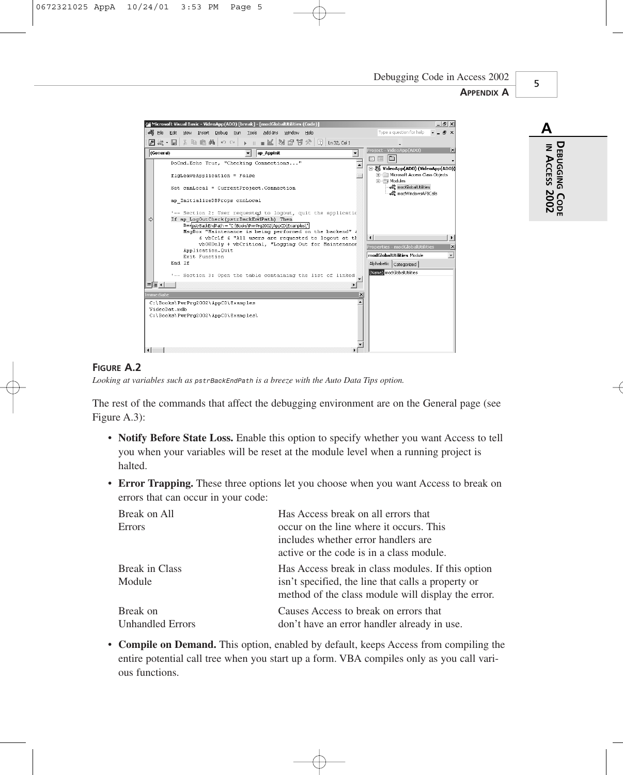#### **APPENDIX A**





**A DEBUGGING CODE I ACCESS 2002**

#### **FIGURE A.2**

*Looking at variables such as pstrBackEndPath is a breeze with the Auto Data Tips option.*

The rest of the commands that affect the debugging environment are on the General page (see Figure A.3):

- **Notify Before State Loss.** Enable this option to specify whether you want Access to tell you when your variables will be reset at the module level when a running project is halted.
- **Error Trapping.** These three options let you choose when you want Access to break on errors that can occur in your code:

| Break on All<br>Errors              | Has Access break on all errors that<br>occur on the line where it occurs. This<br>includes whether error handlers are<br>active or the code is in a class module. |
|-------------------------------------|-------------------------------------------------------------------------------------------------------------------------------------------------------------------|
| Break in Class<br>Module            | Has Access break in class modules. If this option<br>isn't specified, the line that calls a property or<br>method of the class module will display the error.     |
| Break on<br><b>Unhandled Errors</b> | Causes Access to break on errors that<br>don't have an error handler already in use.                                                                              |

• **Compile on Demand.** This option, enabled by default, keeps Access from compiling the entire potential call tree when you start up a form. VBA compiles only as you call various functions.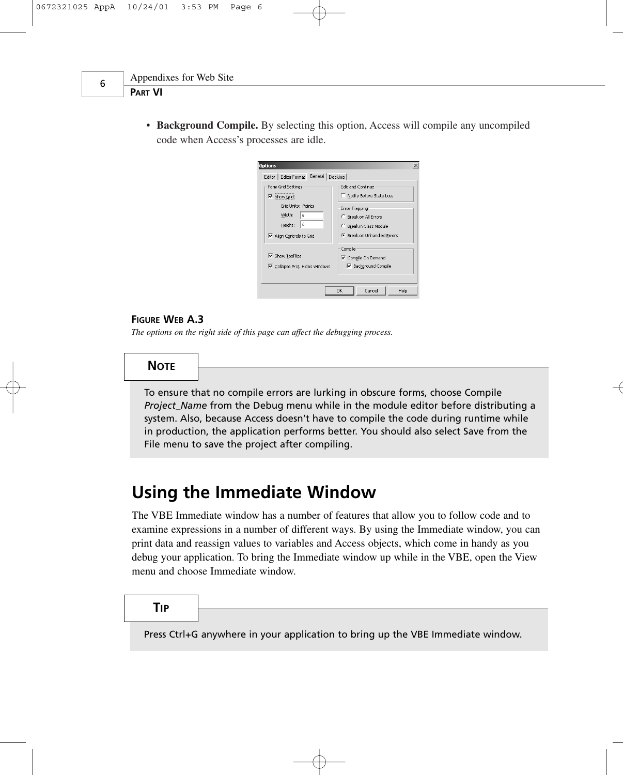| Appendixes for Web Site |
|-------------------------|
| <b>PART VI</b>          |

• **Background Compile.** By selecting this option, Access will compile any uncompiled code when Access's processes are idle.

| Editor   Editor Format General   Docking<br>Form Grid Settings | Edit and Continue                                                    |
|----------------------------------------------------------------|----------------------------------------------------------------------|
| V Show Grid                                                    | Notify Before State Loss                                             |
| Grid Units: Points<br>Width:<br>6<br>6<br>Height:              | Error Trapping<br>C Break on All Errors<br>C Break in Class Module   |
| Alian Controls to Grid                                         | 6 Break on Unhandled Errors                                          |
| Show ToolTips<br>√ Collapse Proj. Hides Windows                | Compile<br><b>▽</b> Compile On Demand<br><b>▽</b> Background Compile |
|                                                                |                                                                      |

#### **FIGURE WEB A.3**

*The options on the right side of this page can affect the debugging process.*

#### **NOTE**

To ensure that no compile errors are lurking in obscure forms, choose Compile *Project\_Name* from the Debug menu while in the module editor before distributing a system. Also, because Access doesn't have to compile the code during runtime while in production, the application performs better. You should also select Save from the File menu to save the project after compiling.

### **Using the Immediate Window**

The VBE Immediate window has a number of features that allow you to follow code and to examine expressions in a number of different ways. By using the Immediate window, you can print data and reassign values to variables and Access objects, which come in handy as you debug your application. To bring the Immediate window up while in the VBE, open the View menu and choose Immediate window.

#### **TIP**

Press Ctrl+G anywhere in your application to bring up the VBE Immediate window.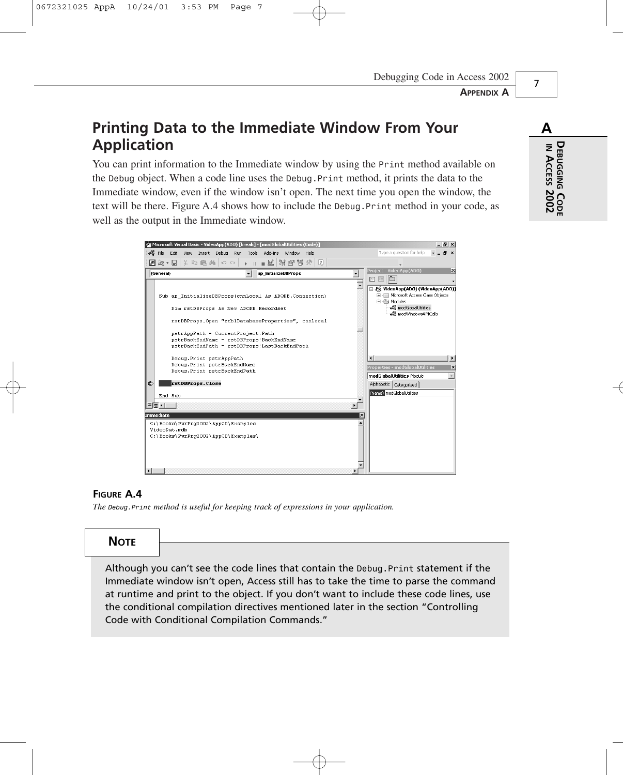### **Printing Data to the Immediate Window From Your Application**

You can print information to the Immediate window by using the *Print* method available on the *Debug* object. When a code line uses the *Debug.Print* method, it prints the data to the Immediate window, even if the window isn't open. The next time you open the window, the text will be there. Figure A.4 shows how to include the *Debug.Print* method in your code, as well as the output in the Immediate window.

| .<br>[Microsoft Visual Basic - VideoApp(ADO) [break] - [modGlo <u>balUtilities (Code)</u> ] | $- P $ $\times$                                                   |
|---------------------------------------------------------------------------------------------|-------------------------------------------------------------------|
| Edit View Insert Debug Run Tools Add-Ins Window Help<br>File                                | Type a question for help<br>ĐХ.                                   |
| ▶    ■ 24   36 전 경 소   5<br>※▼国 & 毛毛角 の ○                                                   |                                                                   |
|                                                                                             | Project - VideoApp(ADO)<br>$\overline{\mathsf{x}}$                |
| (General)<br>ap_InitializeDBProps                                                           | Eal                                                               |
|                                                                                             | 日 然 VideoApp(ADO) (VideoApp(ADO))                                 |
| Sub ap InitializeDBProps(cnnLocal As ADODB.Connection)                                      | E-Fill Microsoft Access Class Objects                             |
|                                                                                             | <b>FI-Ex Modules</b>                                              |
| Dim rstDBProps As New ADODB. Recordset                                                      | √☆ modGlobalUtilities                                             |
| rstDBProps.Open "ztblDatabaseProperties", cnnLocal                                          |                                                                   |
|                                                                                             |                                                                   |
| pstrAppPath = CurrentProject.Path                                                           |                                                                   |
| pstrBackEndName = rstDBProps!BackEndName                                                    |                                                                   |
| pstrBackEndPath = rstDBProps!LastBackEndPath                                                |                                                                   |
| Debug. Print pstrAppPath                                                                    | $\ddot{\phantom{1}}$                                              |
| Debug. Print pstrBackEndName                                                                | $\overline{\mathbf{x}}$<br><b>Properties - modGlobalUtilities</b> |
| Debug. Print pstrBackEndPath                                                                | modGlobalUtilities Module<br>$\overline{\phantom{a}}$             |
| rstDBProps.Close<br>$\bullet$                                                               | Alphabetic   Categorized                                          |
| End Sub                                                                                     | (Name) modGlobalUtilities                                         |
|                                                                                             |                                                                   |
| $\mathbf{F}$<br>된동 4                                                                        |                                                                   |
| <b>Immediate</b><br>×                                                                       |                                                                   |
| C:\Books\PwrPrq2002\AppCD\Examples                                                          |                                                                   |
| VideoDat.mdb                                                                                |                                                                   |
| C:\Books\PwrPra2002\AppCD\Examples\                                                         |                                                                   |
|                                                                                             |                                                                   |
|                                                                                             |                                                                   |
|                                                                                             |                                                                   |
|                                                                                             |                                                                   |
|                                                                                             |                                                                   |

#### **FIGURE A.4**

0672321025 AppA 10/24/01 3:53 PM Page 7

*The Debug.Print method is useful for keeping track of expressions in your application.*

### **NOTE**

Although you can't see the code lines that contain the *Debug.Print* statement if the Immediate window isn't open, Access still has to take the time to parse the command at runtime and print to the object. If you don't want to include these code lines, use the conditional compilation directives mentioned later in the section "Controlling Code with Conditional Compilation Commands."

7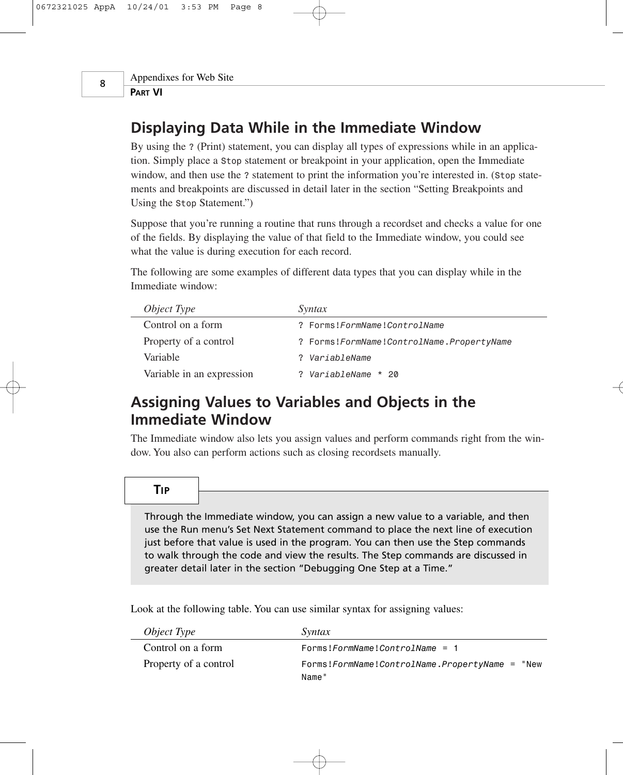**PART VI**

Appendixes for Web Site

### **Displaying Data While in the Immediate Window**

By using the *?* (Print) statement, you can display all types of expressions while in an application. Simply place a *Stop* statement or breakpoint in your application, open the Immediate window, and then use the ? statement to print the information you're interested in. (Stop statements and breakpoints are discussed in detail later in the section "Setting Breakpoints and Using the *Stop* Statement.")

Suppose that you're running a routine that runs through a recordset and checks a value for one of the fields. By displaying the value of that field to the Immediate window, you could see what the value is during execution for each record.

The following are some examples of different data types that you can display while in the Immediate window:

| <i>Object Type</i>        | Syntax                                       |
|---------------------------|----------------------------------------------|
| Control on a form         | ? Forms! FormName! ControlName               |
| Property of a control     | ? Forms! FormName! ControlName. PropertyName |
| Variable                  | ? VariableName                               |
| Variable in an expression | ? VariableName * 20                          |

### **Assigning Values to Variables and Objects in the Immediate Window**

The Immediate window also lets you assign values and perform commands right from the window. You also can perform actions such as closing recordsets manually.

#### **TIP**

Through the Immediate window, you can assign a new value to a variable, and then use the Run menu's Set Next Statement command to place the next line of execution just before that value is used in the program. You can then use the Step commands to walk through the code and view the results. The Step commands are discussed in greater detail later in the section "Debugging One Step at a Time."

Look at the following table. You can use similar syntax for assigning values:

| <i>Object Type</i>    | Syntax                                                             |
|-----------------------|--------------------------------------------------------------------|
| Control on a form     | $FormName$ : $FormName$ : $ControlName = 1$                        |
| Property of a control | Forms! $FormName$ ! $Controllame$ . $PropertyName = "New$<br>Name" |

8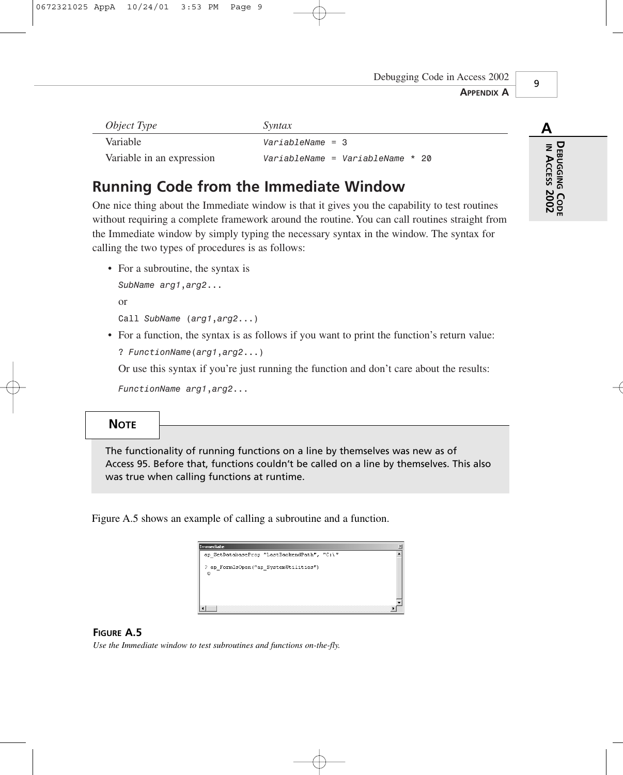### 9

| <i>Object Type</i>        | Syntax                           |
|---------------------------|----------------------------------|
| Variable                  | $VariableName = 3$               |
| Variable in an expression | VariableName = VariableName * 20 |

### **Running Code from the Immediate Window**

One nice thing about the Immediate window is that it gives you the capability to test routines without requiring a complete framework around the routine. You can call routines straight from the Immediate window by simply typing the necessary syntax in the window. The syntax for calling the two types of procedures is as follows:

• For a subroutine, the syntax is

*SubName arg1,arg2...* or

*Call SubName (arg1,arg2...)*

• For a function, the syntax is as follows if you want to print the function's return value: *? FunctionName(arg1,arg2...)*

Or use this syntax if you're just running the function and don't care about the results:

*FunctionName arg1,arg2...*

#### **NOTE**

The functionality of running functions on a line by themselves was new as of Access 95. Before that, functions couldn't be called on a line by themselves. This also was true when calling functions at runtime.

Figure A.5 shows an example of calling a subroutine and a function.

| Immediate                                   | × |
|---------------------------------------------|---|
| ap SetDatabaseProp "LastBackendPath", "C:\" |   |
| ap FormIsOpen("ap SystemUtilities")<br>Ω    |   |
|                                             |   |
|                                             |   |
|                                             |   |
|                                             |   |

#### **FIGURE A.5**

*Use the Immediate window to test subroutines and functions on-the-fly.*

**A DEBUGGING CODE I ACCESS 2002**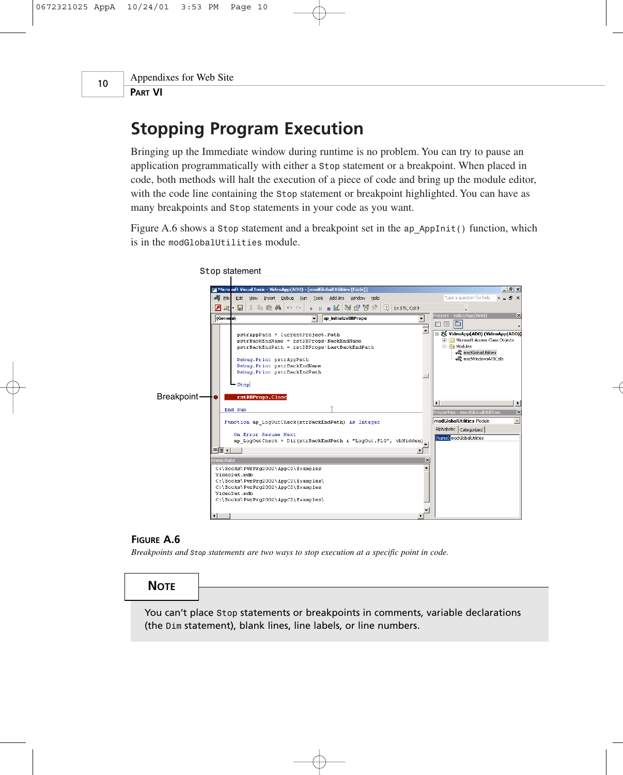**PART VI**

Appendixes for Web Site

### **Stopping Program Execution**

Bringing up the Immediate window during runtime is no problem. You can try to pause an application programmatically with either a *Stop* statement or a breakpoint. When placed in code, both methods will halt the execution of a piece of code and bring up the module editor, with the code line containing the *Stop* statement or breakpoint highlighted. You can have as many breakpoints and *Stop* statements in your code as you want.

Figure A.6 shows a *Stop* statement and a breakpoint set in the *ap\_AppInit()* function, which is in the *modGlobalUtilities* module.



#### **FIGURE A.6**

*Breakpoints and Stop statements are two ways to stop execution at a specific point in code.*

#### **NOTE**

You can't place *Stop* statements or breakpoints in comments, variable declarations (the *Dim* statement), blank lines, line labels, or line numbers.

10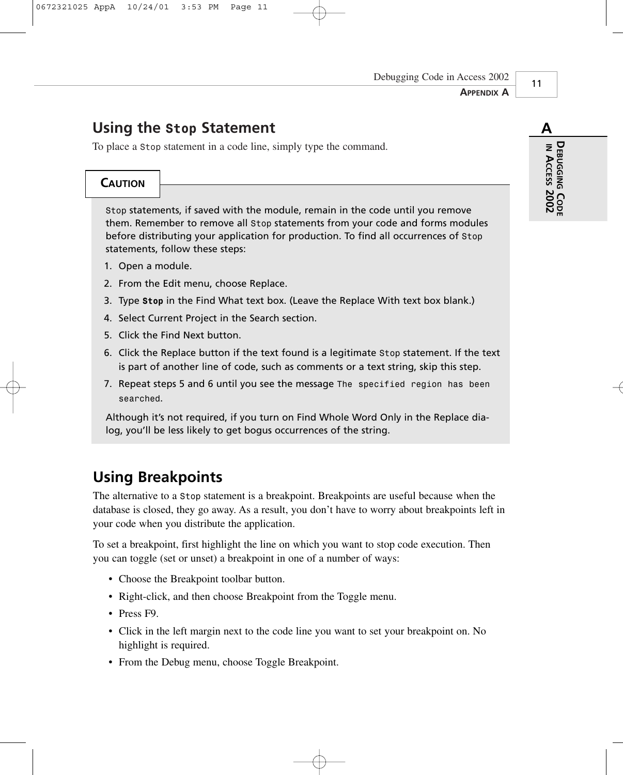### **Using the** *Stop* **Statement**

To place a *Stop* statement in a code line, simply type the command.

#### **CAUTION**

*Stop* statements, if saved with the module, remain in the code until you remove them. Remember to remove all *Stop* statements from your code and forms modules before distributing your application for production. To find all occurrences of *Stop* statements, follow these steps:

- 1. Open a module.
- 2. From the Edit menu, choose Replace.
- 3. Type *Stop* in the Find What text box. (Leave the Replace With text box blank.)
- 4. Select Current Project in the Search section.
- 5. Click the Find Next button.
- 6. Click the Replace button if the text found is a legitimate *Stop* statement. If the text is part of another line of code, such as comments or a text string, skip this step.
- 7. Repeat steps 5 and 6 until you see the message *The specified region has been searched*.

Although it's not required, if you turn on Find Whole Word Only in the Replace dialog, you'll be less likely to get bogus occurrences of the string.

### **Using Breakpoints**

The alternative to a *Stop* statement is a breakpoint. Breakpoints are useful because when the database is closed, they go away. As a result, you don't have to worry about breakpoints left in your code when you distribute the application.

To set a breakpoint, first highlight the line on which you want to stop code execution. Then you can toggle (set or unset) a breakpoint in one of a number of ways:

- Choose the Breakpoint toolbar button.
- Right-click, and then choose Breakpoint from the Toggle menu.
- Press F9.
- Click in the left margin next to the code line you want to set your breakpoint on. No highlight is required.
- From the Debug menu, choose Toggle Breakpoint.

11

**I** 

**ACCESS**

**2002**

**DEBUGGING**

**CODE**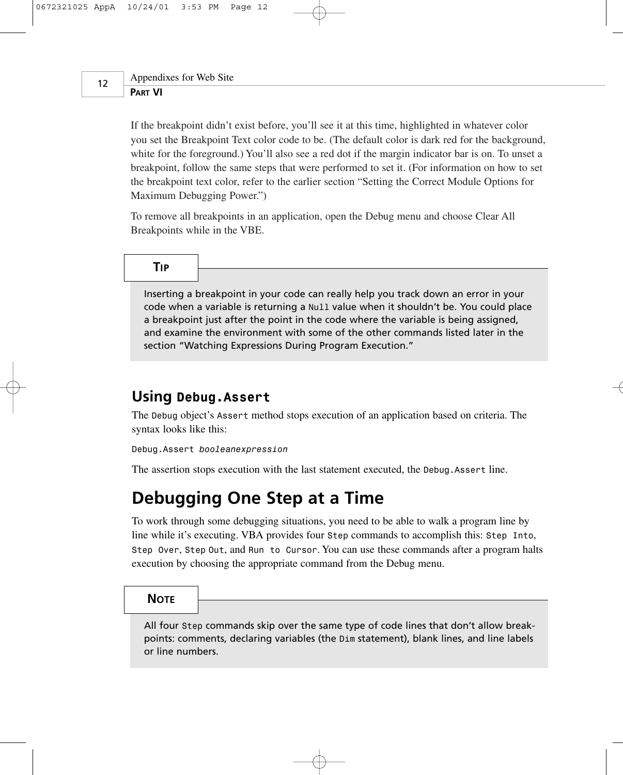12

#### Appendixes for Web Site **PART VI**

If the breakpoint didn't exist before, you'll see it at this time, highlighted in whatever color you set the Breakpoint Text color code to be. (The default color is dark red for the background, white for the foreground.) You'll also see a red dot if the margin indicator bar is on. To unset a breakpoint, follow the same steps that were performed to set it. (For information on how to set the breakpoint text color, refer to the earlier section "Setting the Correct Module Options for Maximum Debugging Power.")

To remove all breakpoints in an application, open the Debug menu and choose Clear All Breakpoints while in the VBE.

#### **TIP**

Inserting a breakpoint in your code can really help you track down an error in your code when a variable is returning a *Null* value when it shouldn't be. You could place a breakpoint just after the point in the code where the variable is being assigned, and examine the environment with some of the other commands listed later in the section "Watching Expressions During Program Execution."

### **Using** *Debug.Assert*

The *Debug* object's *Assert* method stops execution of an application based on criteria. The syntax looks like this:

*Debug.Assert booleanexpression*

The assertion stops execution with the last statement executed, the *Debug.Assert* line.

### **Debugging One Step at a Time**

To work through some debugging situations, you need to be able to walk a program line by line while it's executing. VBA provides four *Step* commands to accomplish this: *Step Into*, *Step Over*, *Step Out*, and *Run to Cursor*. You can use these commands after a program halts execution by choosing the appropriate command from the Debug menu.

#### **NOTE**

All four *Step* commands skip over the same type of code lines that don't allow breakpoints: comments, declaring variables (the *Dim* statement), blank lines, and line labels or line numbers.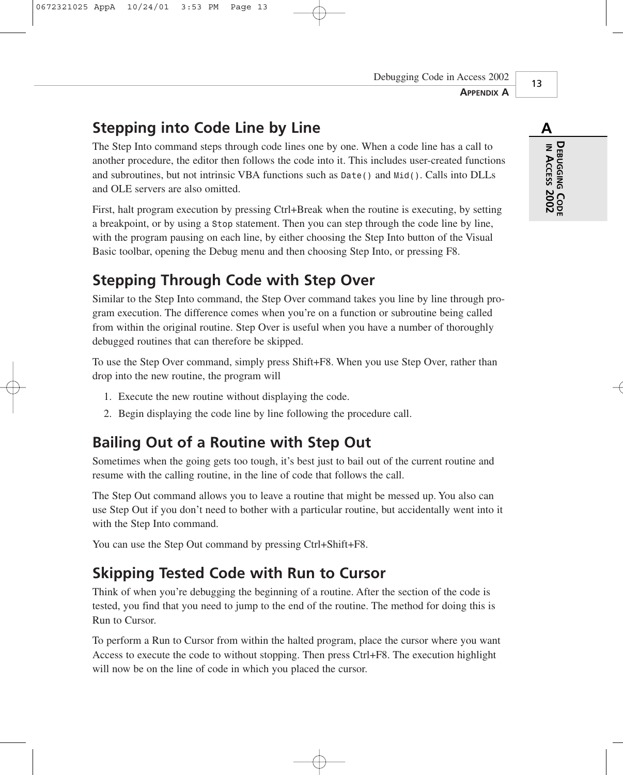### **Stepping into Code Line by Line**

The Step Into command steps through code lines one by one. When a code line has a call to another procedure, the editor then follows the code into it. This includes user-created functions and subroutines, but not intrinsic VBA functions such as *Date()* and *Mid()*. Calls into DLLs and OLE servers are also omitted.

First, halt program execution by pressing Ctrl+Break when the routine is executing, by setting a breakpoint, or by using a *Stop* statement. Then you can step through the code line by line, with the program pausing on each line, by either choosing the Step Into button of the Visual Basic toolbar, opening the Debug menu and then choosing Step Into, or pressing F8.

### **Stepping Through Code with Step Over**

Similar to the Step Into command, the Step Over command takes you line by line through program execution. The difference comes when you're on a function or subroutine being called from within the original routine. Step Over is useful when you have a number of thoroughly debugged routines that can therefore be skipped.

To use the Step Over command, simply press Shift+F8. When you use Step Over, rather than drop into the new routine, the program will

- 1. Execute the new routine without displaying the code.
- 2. Begin displaying the code line by line following the procedure call.

### **Bailing Out of a Routine with Step Out**

Sometimes when the going gets too tough, it's best just to bail out of the current routine and resume with the calling routine, in the line of code that follows the call.

The Step Out command allows you to leave a routine that might be messed up. You also can use Step Out if you don't need to bother with a particular routine, but accidentally went into it with the Step Into command.

You can use the Step Out command by pressing Ctrl+Shift+F8.

### **Skipping Tested Code with Run to Cursor**

Think of when you're debugging the beginning of a routine. After the section of the code is tested, you find that you need to jump to the end of the routine. The method for doing this is Run to Cursor.

To perform a Run to Cursor from within the halted program, place the cursor where you want Access to execute the code to without stopping. Then press Ctrl+F8. The execution highlight will now be on the line of code in which you placed the cursor.

**A**

**I** 

**ACCESS**

**2002**

**DEBUGGING**

**CODE**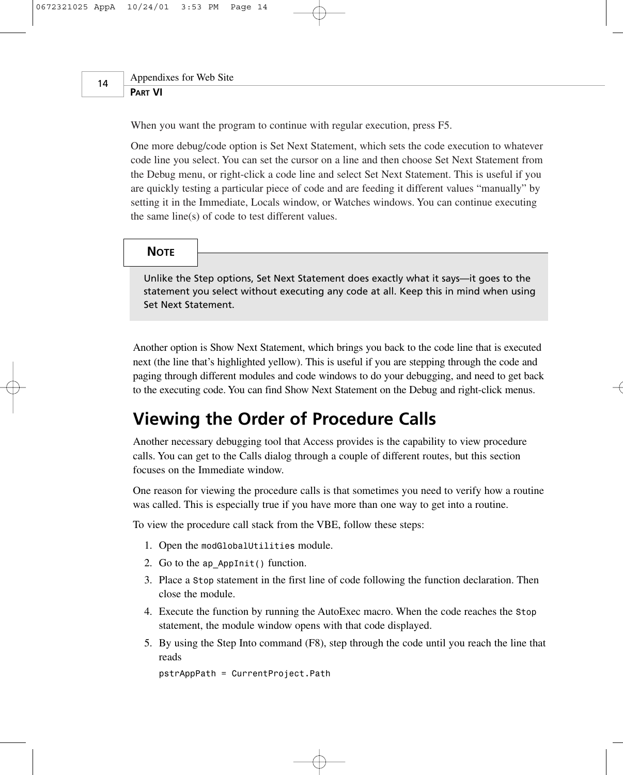14

#### Appendixes for Web Site **PART VI**

When you want the program to continue with regular execution, press F5.

One more debug/code option is Set Next Statement, which sets the code execution to whatever code line you select. You can set the cursor on a line and then choose Set Next Statement from the Debug menu, or right-click a code line and select Set Next Statement. This is useful if you are quickly testing a particular piece of code and are feeding it different values "manually" by setting it in the Immediate, Locals window, or Watches windows. You can continue executing the same line(s) of code to test different values.

#### **NOTE**

Unlike the Step options, Set Next Statement does exactly what it says—it goes to the statement you select without executing any code at all. Keep this in mind when using Set Next Statement.

Another option is Show Next Statement, which brings you back to the code line that is executed next (the line that's highlighted yellow). This is useful if you are stepping through the code and paging through different modules and code windows to do your debugging, and need to get back to the executing code. You can find Show Next Statement on the Debug and right-click menus.

### **Viewing the Order of Procedure Calls**

Another necessary debugging tool that Access provides is the capability to view procedure calls. You can get to the Calls dialog through a couple of different routes, but this section focuses on the Immediate window.

One reason for viewing the procedure calls is that sometimes you need to verify how a routine was called. This is especially true if you have more than one way to get into a routine.

To view the procedure call stack from the VBE, follow these steps:

- 1. Open the *modGlobalUtilities* module.
- 2. Go to the *ap\_AppInit()* function.
- 3. Place a *Stop* statement in the first line of code following the function declaration. Then close the module.
- 4. Execute the function by running the AutoExec macro. When the code reaches the *Stop* statement, the module window opens with that code displayed.
- 5. By using the Step Into command (F8), step through the code until you reach the line that reads

*pstrAppPath = CurrentProject.Path*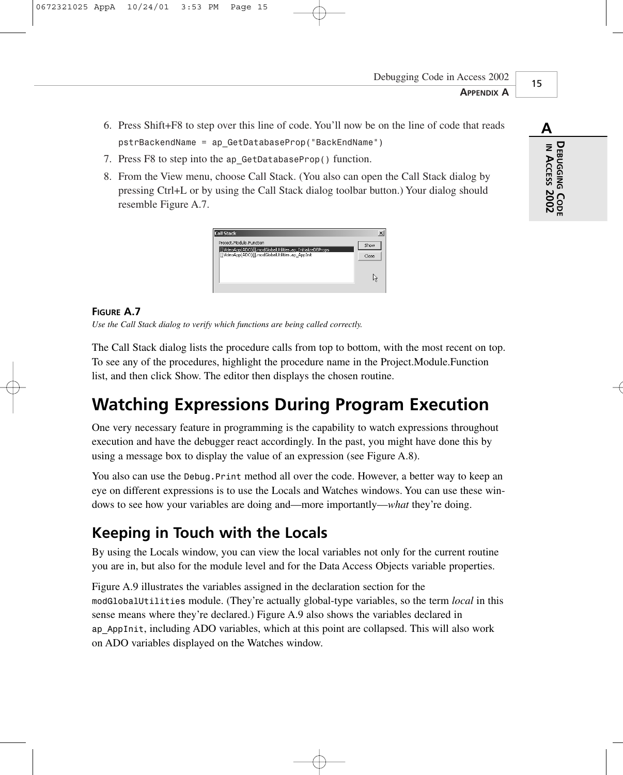15

#### 6. Press Shift+F8 to step over this line of code. You'll now be on the line of code that reads *pstrBackendName = ap\_GetDatabaseProp("BackEndName")*

- 7. Press F8 to step into the *ap\_GetDatabaseProp()* function.
- 8. From the View menu, choose Call Stack. (You also can open the Call Stack dialog by pressing Ctrl+L or by using the Call Stack dialog toolbar button.) Your dialog should resemble Figure A.7.

| <b>Call Stack</b>                                                                                                                       |               |
|-----------------------------------------------------------------------------------------------------------------------------------------|---------------|
| Project.Module.Function<br>[[VideoApp(ADO)]].modGlobalUtilities.ap InitializeDBProps<br>[[VideoApp(ADO)]].modGlobalUtilities.ap AppInit | Show<br>Close |
|                                                                                                                                         |               |

#### **FIGURE A.7**

*Use the Call Stack dialog to verify which functions are being called correctly.*

The Call Stack dialog lists the procedure calls from top to bottom, with the most recent on top. To see any of the procedures, highlight the procedure name in the Project.Module.Function list, and then click Show. The editor then displays the chosen routine.

### **Watching Expressions During Program Execution**

One very necessary feature in programming is the capability to watch expressions throughout execution and have the debugger react accordingly. In the past, you might have done this by using a message box to display the value of an expression (see Figure A.8).

You also can use the *Debug.Print* method all over the code. However, a better way to keep an eye on different expressions is to use the Locals and Watches windows. You can use these windows to see how your variables are doing and—more importantly—*what* they're doing.

### **Keeping in Touch with the Locals**

By using the Locals window, you can view the local variables not only for the current routine you are in, but also for the module level and for the Data Access Objects variable properties.

Figure A.9 illustrates the variables assigned in the declaration section for the *modGlobalUtilities* module. (They're actually global-type variables, so the term *local* in this sense means where they're declared.) Figure A.9 also shows the variables declared in *ap\_AppInit*, including ADO variables, which at this point are collapsed. This will also work on ADO variables displayed on the Watches window.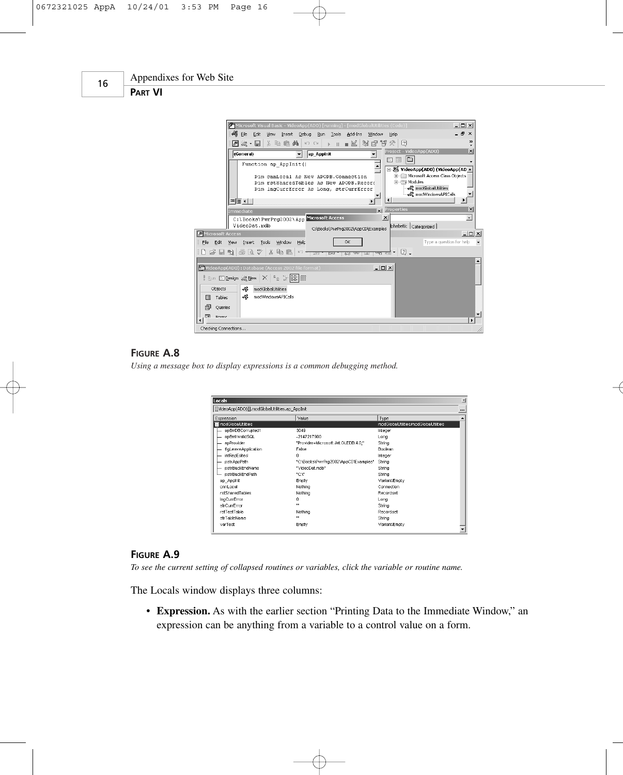| 16 | Appendixes for Web Site |                                                                                                    |                 |
|----|-------------------------|----------------------------------------------------------------------------------------------------|-----------------|
|    |                         |                                                                                                    |                 |
|    |                         |                                                                                                    |                 |
|    |                         |                                                                                                    |                 |
|    |                         | $ \Box$ $\times$<br>Microsoft Visual Basic - VideoApp(ADO) [running] - [modGlobalUtilities (Code)] |                 |
|    |                         | - es Eile<br>- 8<br>Edit View Insert Debug Run Tools Add-Ins Window Help                           | $\times$        |
|    |                         | 2 次 • 日 │ ↓ 临 临 关   ∽ ○ │ ▶ Ⅱ ■ 凶 │ X ຜ 智 父 │ ♡                                                    | $\rightarrow$   |
|    |                         | Project - VideoApp(ADO)<br>ap_Appinit<br>(General)<br>$\mathbf{v}$                                 | $\vert x \vert$ |
|    |                         | la<br>EB <sub>1</sub><br>圖<br>Function ap AppInit()                                                |                 |
|    |                         | E & VideoApp(ADO) (VideoApp(AD ▲                                                                   |                 |
|    |                         | Fi-Fill Microsoft Access Class Objects<br>Dim cnnLocal As New ADODB. Connection                    |                 |
|    |                         | <b>E</b> - <i>C</i> Modules<br>Dim rstSharedTables As New ADODB.Record<br>⊶≪ึ modGlobalUtilities   |                 |
|    |                         | Dim IngCurrError As Long, strCurrError<br>→ 数 modWindowsAPICalls                                   |                 |
|    |                         | = 菫 +   <br>٠                                                                                      |                 |
|    |                         | <b>X</b> Properties<br>Immediate                                                                   | $\vert x \vert$ |
|    |                         | C:\Books\PwrPrg2002\App Microsoft Access<br>$\vert x \vert$                                        | ᆋ               |
|    |                         | VideoDat.mdh<br>phabetic   Categorized                                                             |                 |

Window Help

 $\begin{tabular}{|c|c|c|} \hline $\Delta$ & $\alpha$ & $\alpha$ \\ \hline $\Delta$ & $\alpha$ & $\alpha$ & $\alpha$ \\ \hline $\Delta$ & $\alpha$ & $\alpha$ & $\alpha$ \\ \hline $\alpha$ & $\alpha$ & $\alpha$ & $\alpha$ \\ \hline $\alpha$ & $\alpha$ & $\alpha$ & $\alpha$ \\ \hline $\alpha$ & $\alpha$ & $\alpha$ & $\alpha$ & $\alpha$ \\ \hline $\alpha$ & $\alpha$ & $\alpha$ & $\alpha$ & $\alpha$ \\ \hline $\alpha$ & $\alpha$ & $\alpha$ & $\alpha$ & $\alpha$ \\ \hline $\alpha$ & $\alpha$ & $\alpha$ & $\alpha$ & $\alpha$ \\ \hline $\alpha$ & $\alpha$ & $\alpha$ & $\alpha$ & $\alpha$ \\$ 

 $\mathbb{R}^n$ 

#### **FIGURE A.8**

Eile  $\underline{\mathsf{Edit}}$ 

Ð

 $\left| \cdot \right|$ Checking Connections.

 $\frac{1}{2}$  Run  $\Box$  Design 総丛  $\times$ 

Objects

 $\Box$  Tables

**D** Queries **ERI**  $\mathbf{r}$ 

*Using a message box to display expressions is a common debugging method.*

 $\underline{Insert} \quad \underline{Tools}$ 

modGlobalUtilities modWindowsAPICalls

礞

4\$

View 

| Locals                                          |                                      | $\times$                              |
|-------------------------------------------------|--------------------------------------|---------------------------------------|
| [[VideoApp(ADO)]].modGlobalUtilities.ap AppInit |                                      |                                       |
| Expression                                      | Value                                | Type                                  |
| nodGlobalUtilities                              |                                      | modGlobalUtilities/modGlobalUtilities |
| apErrDBCorrupted1                               | 3049                                 | Integer                               |
| apErrinvalidSQL                                 | -2147217900                          | Long                                  |
| apProvider                                      | "Provider=Microsoft.Jet.OLEDB.4.0;"  | String                                |
| figLeaveApplication                             | False                                | Boolean                               |
| intRepEdited                                    | n                                    | Integer                               |
| pstr AppPath                                    | "C:\Books\PwrPrg2002\AppCD\Examples" | String                                |
| pstrBackEndName                                 | "VideoDat.mdb"                       | String                                |
| pstrBackEndPath                                 | "C:Y"                                | String                                |
| ap Appinit                                      | Empty                                | Variant/Empty                         |
| cnnLocal                                        | Nothing                              | Connection                            |
| rstSharedTables                                 | Nothing                              | Recordset                             |
| IngCurrError                                    | n                                    | Lona                                  |
| strCurrError                                    | m                                    | String                                |
| rstTestTable                                    | Nothing                              | Recordset                             |
| strTableName                                    |                                      | String                                |
| varTest                                         | Empty                                | Variant/Empty                         |

 $\alpha$ 

Type a question for hel

 $\vert \cdot \vert$ 

 $\boxed{2}$  .

 $\blacksquare$ 

#### **FIGURE A.9**

*To see the current setting of collapsed routines or variables, click the variable or routine name.*

The Locals window displays three columns:

• **Expression.** As with the earlier section "Printing Data to the Immediate Window," an expression can be anything from a variable to a control value on a form.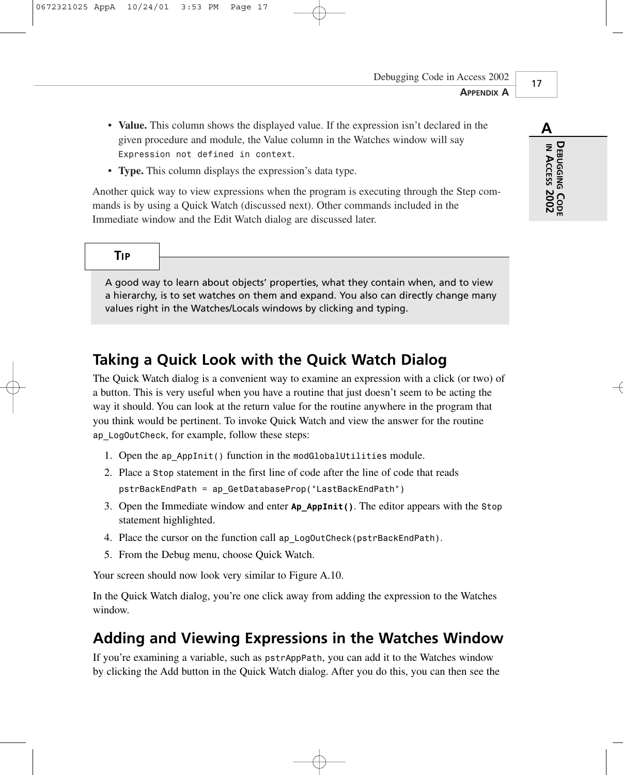**APPENDIX A**

17

- **Value.** This column shows the displayed value. If the expression isn't declared in the given procedure and module, the Value column in the Watches window will say *Expression not defined in context*.
- **Type.** This column displays the expression's data type.

Another quick way to view expressions when the program is executing through the Step commands is by using a Quick Watch (discussed next). Other commands included in the Immediate window and the Edit Watch dialog are discussed later.

#### **TIP**

A good way to learn about objects' properties, what they contain when, and to view a hierarchy, is to set watches on them and expand. You also can directly change many values right in the Watches/Locals windows by clicking and typing.

### **Taking a Quick Look with the Quick Watch Dialog**

The Quick Watch dialog is a convenient way to examine an expression with a click (or two) of a button. This is very useful when you have a routine that just doesn't seem to be acting the way it should. You can look at the return value for the routine anywhere in the program that you think would be pertinent. To invoke Quick Watch and view the answer for the routine *ap\_LogOutCheck*, for example, follow these steps:

- 1. Open the *ap\_AppInit()* function in the *modGlobalUtilities* module.
- 2. Place a *Stop* statement in the first line of code after the line of code that reads *pstrBackEndPath = ap\_GetDatabaseProp("LastBackEndPath")*
- 3. Open the Immediate window and enter *Ap\_AppInit()*. The editor appears with the *Stop* statement highlighted.
- 4. Place the cursor on the function call *ap\_LogOutCheck(pstrBackEndPath)*.
- 5. From the Debug menu, choose Quick Watch.

Your screen should now look very similar to Figure A.10.

In the Quick Watch dialog, you're one click away from adding the expression to the Watches window.

### **Adding and Viewing Expressions in the Watches Window**

If you're examining a variable, such as *pstrAppPath*, you can add it to the Watches window by clicking the Add button in the Quick Watch dialog. After you do this, you can then see the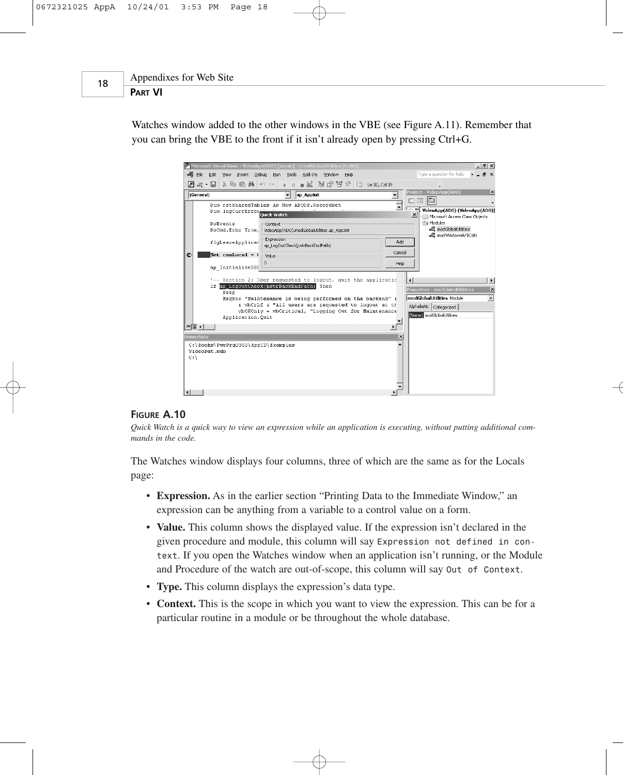Appendixes for Web Site **PART VI** 18

> Watches window added to the other windows in the VBE (see Figure A.11). Remember that you can bring the VBE to the front if it isn't already open by pressing Ctrl+G.



#### **FIGURE A.10**

*Quick Watch is a quick way to view an expression while an application is executing, without putting additional commands in the code.*

The Watches window displays four columns, three of which are the same as for the Locals page:

- **Expression.** As in the earlier section "Printing Data to the Immediate Window," an expression can be anything from a variable to a control value on a form.
- **Value.** This column shows the displayed value. If the expression isn't declared in the given procedure and module, this column will say *Expression not defined in context*. If you open the Watches window when an application isn't running, or the Module and Procedure of the watch are out-of-scope, this column will say *Out of Context*.
- **Type.** This column displays the expression's data type.
- **Context.** This is the scope in which you want to view the expression. This can be for a particular routine in a module or be throughout the whole database.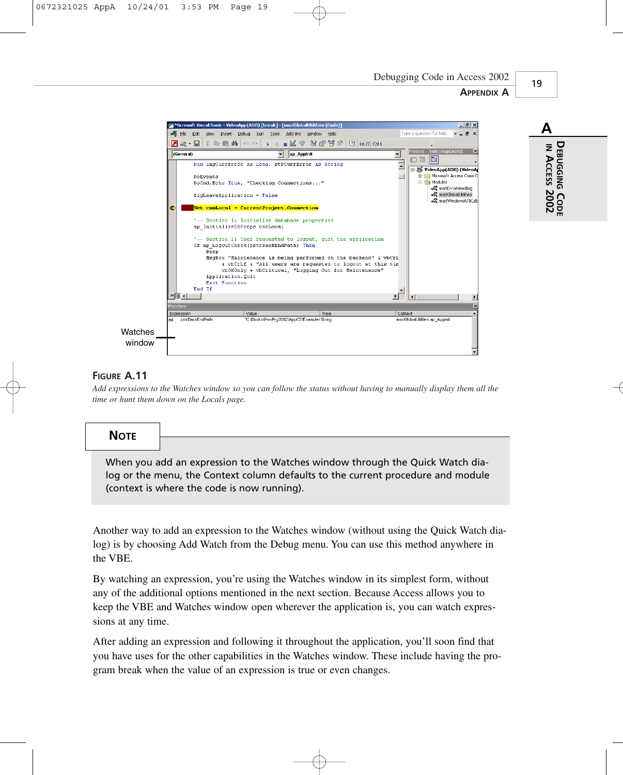



#### **FIGURE A.11**

*Add expressions to the Watches window so you can follow the status without having to manually display them all the time or hunt them down on the Locals page.*

#### **NOTE**

When you add an expression to the Watches window through the Quick Watch dialog or the menu, the Context column defaults to the current procedure and module (context is where the code is now running).

Another way to add an expression to the Watches window (without using the Quick Watch dialog) is by choosing Add Watch from the Debug menu. You can use this method anywhere in the VBE.

By watching an expression, you're using the Watches window in its simplest form, without any of the additional options mentioned in the next section. Because Access allows you to keep the VBE and Watches window open wherever the application is, you can watch expressions at any time.

After adding an expression and following it throughout the application, you'll soon find that you have uses for the other capabilities in the Watches window. These include having the program break when the value of an expression is true or even changes.

19

**A**

**I** 

**ACCESS**

**2002**

**DEBUGGING**

**CODE**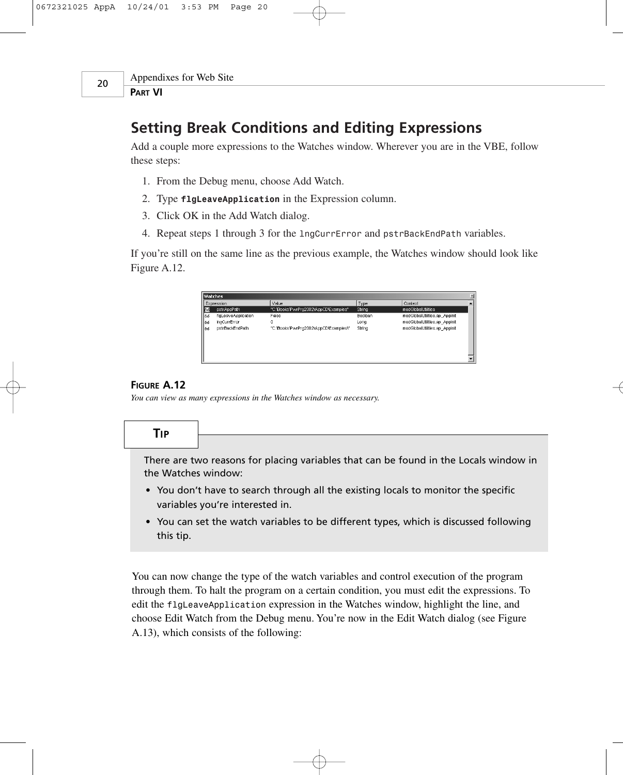**PART VI**

20

Appendixes for Web Site

### **Setting Break Conditions and Editing Expressions**

Add a couple more expressions to the Watches window. Wherever you are in the VBE, follow these steps:

- 1. From the Debug menu, choose Add Watch.
- 2. Type *flgLeaveApplication* in the Expression column.
- 3. Click OK in the Add Watch dialog.
- 4. Repeat steps 1 through 3 for the *lngCurrError* and *pstrBackEndPath* variables.

If you're still on the same line as the previous example, the Watches window should look like Figure A.12.

| <b>Watches</b> |                     |                                       |         |                               |  |
|----------------|---------------------|---------------------------------------|---------|-------------------------------|--|
|                | Expression          | Value                                 | Type    | Context                       |  |
| 66             | pstrAppPath         | "C:\Books\PwrPrq2002\AppCD\Examples"  | String  | modGlobalUtilities            |  |
| 66             | figLeaveApplication | False                                 | Boolean | modGlobalUtilities.ap_Applnit |  |
| 66             | <b>IndCurrError</b> | 0                                     | Lona    | modGlobalUtilities.ap Applnit |  |
| 66             | pstrBackEndPath     | "C:\Books\PwrPrq2002\AppCD\Examples\" | String  | modGlobalUtilities.ap Applnit |  |
|                |                     |                                       |         |                               |  |
|                |                     |                                       |         |                               |  |
|                |                     |                                       |         |                               |  |
|                |                     |                                       |         |                               |  |
|                |                     |                                       |         |                               |  |

#### **FIGURE A.12**

*You can view as many expressions in the Watches window as necessary.*

#### **TIP**

There are two reasons for placing variables that can be found in the Locals window in the Watches window:

- You don't have to search through all the existing locals to monitor the specific variables you're interested in.
- You can set the watch variables to be different types, which is discussed following this tip.

You can now change the type of the watch variables and control execution of the program through them. To halt the program on a certain condition, you must edit the expressions. To edit the *flgLeaveApplication* expression in the Watches window, highlight the line, and choose Edit Watch from the Debug menu. You're now in the Edit Watch dialog (see Figure A.13), which consists of the following: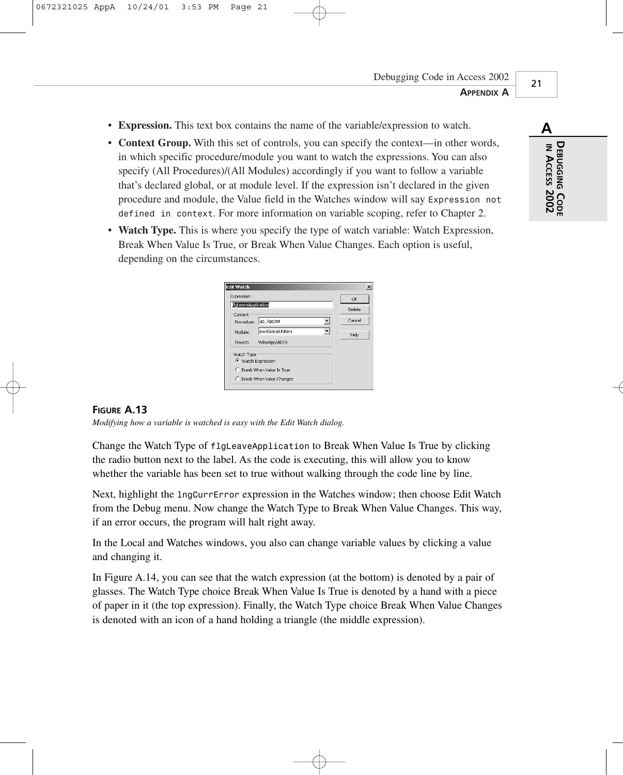- **Expression.** This text box contains the name of the variable/expression to watch.
- **Context Group.** With this set of controls, you can specify the context—in other words, in which specific procedure/module you want to watch the expressions. You can also specify (All Procedures)/(All Modules) accordingly if you want to follow a variable that's declared global, or at module level. If the expression isn't declared in the given procedure and module, the Value field in the Watches window will say *Expression not defined in context*. For more information on variable scoping, refer to Chapter 2.
- **Watch Type.** This is where you specify the type of watch variable: Watch Expression, Break When Value Is True, or Break When Value Changes. Each option is useful, depending on the circumstances.

| <b>figLeaveApplication</b> |                    |        |
|----------------------------|--------------------|--------|
| Context                    |                    | Delete |
| Procedure:                 | ap_AppInit         | Cancel |
| Module:                    | modGlobalUtilities | Help   |
| Project:                   | VideoApp(ADO)      |        |
| Watch Type                 |                    |        |
| ← Watch Expression         |                    |        |

#### **FIGURE A.13**

*Modifying how a variable is watched is easy with the Edit Watch dialog.*

Change the Watch Type of *flgLeaveApplication* to Break When Value Is True by clicking the radio button next to the label. As the code is executing, this will allow you to know whether the variable has been set to true without walking through the code line by line.

Next, highlight the *lngCurrError* expression in the Watches window; then choose Edit Watch from the Debug menu. Now change the Watch Type to Break When Value Changes. This way, if an error occurs, the program will halt right away.

In the Local and Watches windows, you also can change variable values by clicking a value and changing it.

In Figure A.14, you can see that the watch expression (at the bottom) is denoted by a pair of glasses. The Watch Type choice Break When Value Is True is denoted by a hand with a piece of paper in it (the top expression). Finally, the Watch Type choice Break When Value Changes is denoted with an icon of a hand holding a triangle (the middle expression).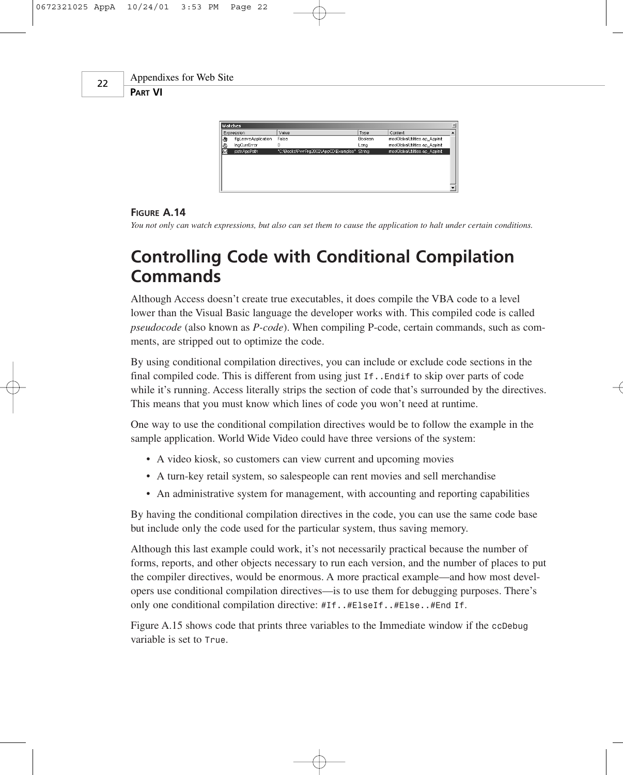|  | Appendixes for Web Site |  |  |  |
|--|-------------------------|--|--|--|
|--|-------------------------|--|--|--|

**PART VI**

22



#### **FIGURE A.14**

*You not only can watch expressions, but also can set them to cause the application to halt under certain conditions.*

## **Controlling Code with Conditional Compilation Commands**

Although Access doesn't create true executables, it does compile the VBA code to a level lower than the Visual Basic language the developer works with. This compiled code is called *pseudocode* (also known as *P-code*). When compiling P-code, certain commands, such as comments, are stripped out to optimize the code.

By using conditional compilation directives, you can include or exclude code sections in the final compiled code. This is different from using just *If..Endif* to skip over parts of code while it's running. Access literally strips the section of code that's surrounded by the directives. This means that you must know which lines of code you won't need at runtime.

One way to use the conditional compilation directives would be to follow the example in the sample application. World Wide Video could have three versions of the system:

- A video kiosk, so customers can view current and upcoming movies
- A turn-key retail system, so salespeople can rent movies and sell merchandise
- An administrative system for management, with accounting and reporting capabilities

By having the conditional compilation directives in the code, you can use the same code base but include only the code used for the particular system, thus saving memory.

Although this last example could work, it's not necessarily practical because the number of forms, reports, and other objects necessary to run each version, and the number of places to put the compiler directives, would be enormous. A more practical example—and how most developers use conditional compilation directives—is to use them for debugging purposes. There's only one conditional compilation directive: *#If..#ElseIf..#Else..#End If*.

Figure A.15 shows code that prints three variables to the Immediate window if the *ccDebug* variable is set to *True*.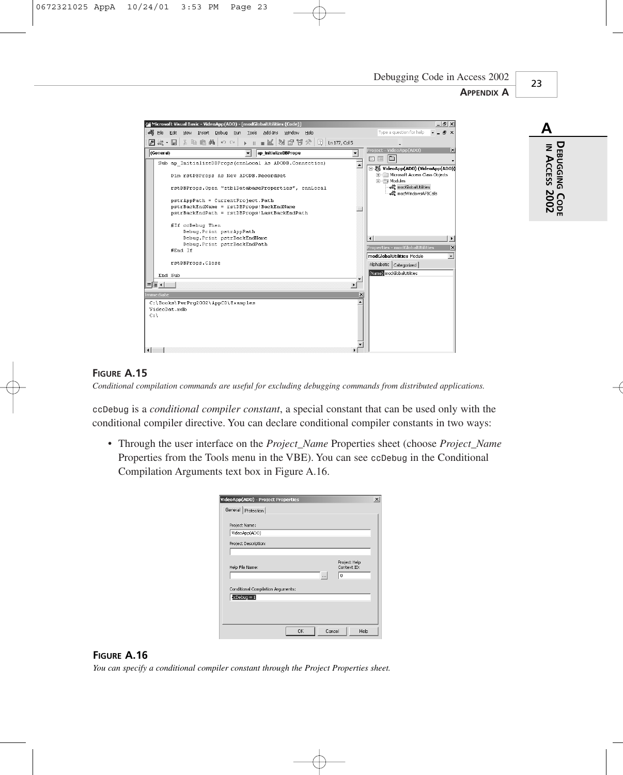**APPENDIX A**

#### $0) -$ [  $-10 \times$ S Elle Edit View Insert Debug Run Iools Add-Ins Window Help Type a question for help  $\theta$   $\times$ 2 次 ■ 米 色 色 英 | の ○ | ▶ || ■ 区 | 写 留 答 ※ | 2 | Ln 177, Col 5 Project - $\overline{|\text{(General)}|}$ v ap\_InitializeDBProps  $\overline{\mathbf{r}}$  $E = 0$ Sub ap\_InitializeDBProps(cnnLocal As ADODB.Connection)  $\overline{\blacksquare}$ ⊟ & VideoApp(ADO) (VideoApp(ADO)) Dim rstDBProps As New ADODB. Recordset **FI-FIII Microsoft Access Class Objects Execute** √% modGlobalUtilities rstDBProps.Open "ztb1DatabaseProperties", cnnLocal modWindowsAPICalls pstrAppPath = CurrentProject.Path pstrBackEndName = rstDBProps!BackEndName<br>pstrBackEndName = rstDBProps!BackEndName<br>pstrBackEndPath = rstDBProps!LastBackEndPath  $\Box$ #If ccDebug Then Debug. Print pstrAppPath<br>Debug. Print pstrBackEndNam  $| \cdot |$  $\left| \cdot \right|$ Debug. Print pstrBackEndPath  $\overline{\mathbf{x}}$ #End If **modGlobalUtilities** Module  $\overline{\cdot}$  $\fbox{Alphabetic } \Big | \, \text{Categorical } \Big |$ rstDBProps.Close lame) modGlobalUtilities End Sub  $\mathbf{r}_i$ ▜ੂਬੁਹੁ C:\Books\PwrPrg2002\AppCD\Examples VideoDat.mdb  $c_{\perp}$

**A DEBUGGING CODE I ACCESS 2002**

#### **FIGURE A.15**

0672321025 AppA 10/24/01 3:53 PM Page 23

*Conditional compilation commands are useful for excluding debugging commands from distributed applications.*

*ccDebug* is a *conditional compiler constant*, a special constant that can be used only with the conditional compiler directive. You can declare conditional compiler constants in two ways:

• Through the user interface on the *Project\_Name* Properties sheet (choose *Project\_Name* Properties from the Tools menu in the VBE). You can see *ccDebug* in the Conditional Compilation Arguments text box in Figure A.16.

| Project Help |
|--------------|
| Context ID:  |
|              |
|              |
|              |
|              |
|              |
|              |

#### **FIGURE A.16**

*You can specify a conditional compiler constant through the Project Properties sheet.*